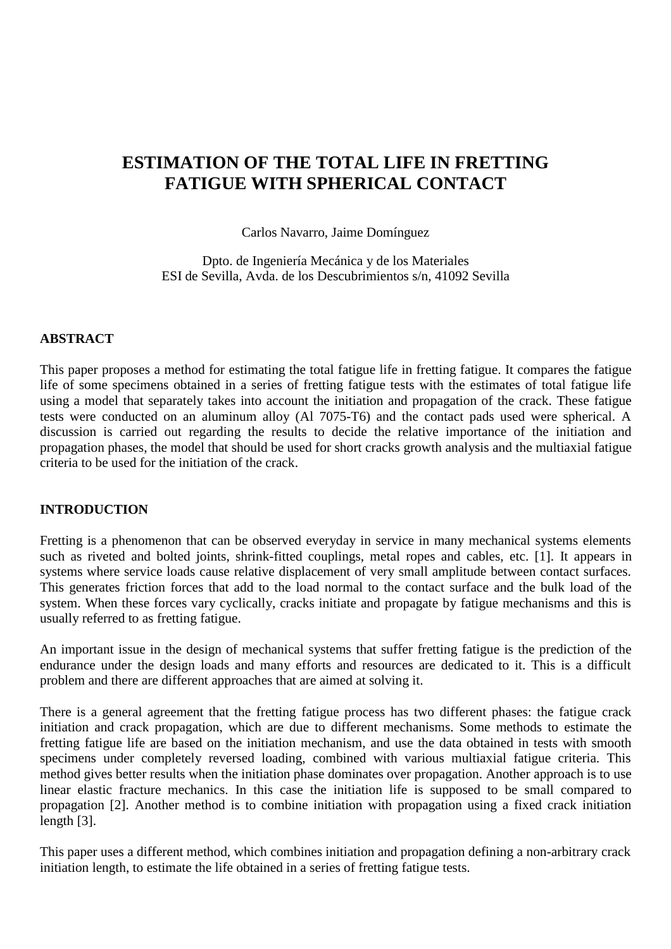# **ESTIMATION OF THE TOTAL LIFE IN FRETTING FATIGUE WITH SPHERICAL CONTACT**

Carlos Navarro, Jaime Domínguez

Dpto. de Ingeniería Mecánica y de los Materiales ESI de Sevilla, Avda. de los Descubrimientos s/n, 41092 Sevilla

#### **ABSTRACT**

This paper proposes a method for estimating the total fatigue life in fretting fatigue. It compares the fatigue life of some specimens obtained in a series of fretting fatigue tests with the estimates of total fatigue life using a model that separately takes into account the initiation and propagation of the crack. These fatigue tests were conducted on an aluminum alloy (Al 7075-T6) and the contact pads used were spherical. A discussion is carried out regarding the results to decide the relative importance of the initiation and propagation phases, the model that should be used for short cracks growth analysis and the multiaxial fatigue criteria to be used for the initiation of the crack.

#### **INTRODUCTION**

Fretting is a phenomenon that can be observed everyday in service in many mechanical systems elements such as riveted and bolted joints, shrink-fitted couplings, metal ropes and cables, etc. [1]. It appears in systems where service loads cause relative displacement of very small amplitude between contact surfaces. This generates friction forces that add to the load normal to the contact surface and the bulk load of the system. When these forces vary cyclically, cracks initiate and propagate by fatigue mechanisms and this is usually referred to as fretting fatigue.

An important issue in the design of mechanical systems that suffer fretting fatigue is the prediction of the endurance under the design loads and many efforts and resources are dedicated to it. This is a difficult problem and there are different approaches that are aimed at solving it.

There is a general agreement that the fretting fatigue process has two different phases: the fatigue crack initiation and crack propagation, which are due to different mechanisms. Some methods to estimate the fretting fatigue life are based on the initiation mechanism, and use the data obtained in tests with smooth specimens under completely reversed loading, combined with various multiaxial fatigue criteria. This method gives better results when the initiation phase dominates over propagation. Another approach is to use linear elastic fracture mechanics. In this case the initiation life is supposed to be small compared to propagation [2]. Another method is to combine initiation with propagation using a fixed crack initiation length [3].

This paper uses a different method, which combines initiation and propagation defining a non-arbitrary crack initiation length, to estimate the life obtained in a series of fretting fatigue tests.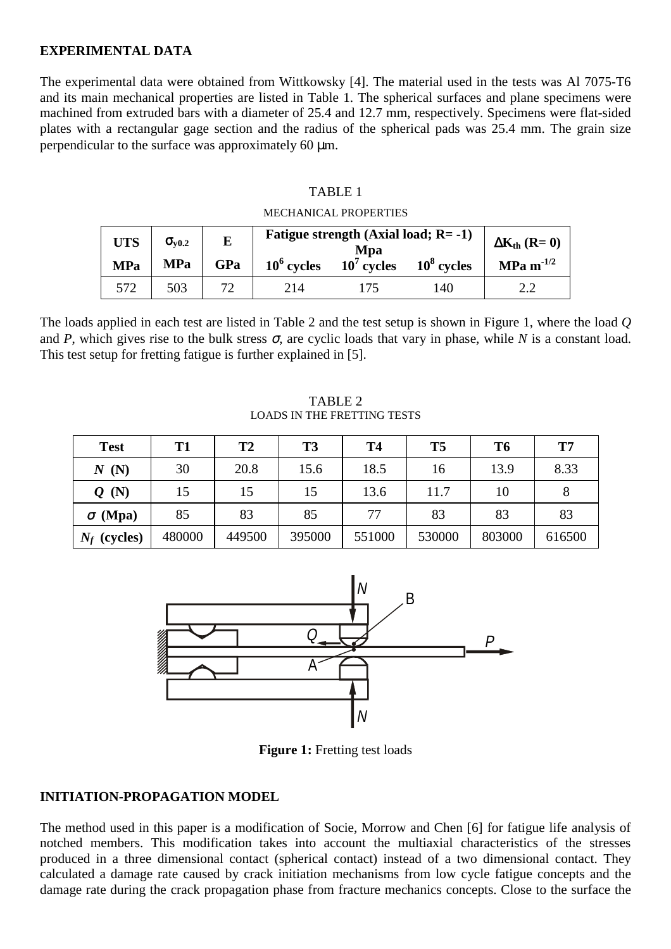## **EXPERIMENTAL DATA**

The experimental data were obtained from Wittkowsky [4]. The material used in the tests was Al 7075-T6 and its main mechanical properties are listed in Table 1. The spherical surfaces and plane specimens were machined from extruded bars with a diameter of 25.4 and 12.7 mm, respectively. Specimens were flat-sided plates with a rectangular gage section and the radius of the spherical pads was 25.4 mm. The grain size perpendicular to the surface was approximately 60 µm.

## TABLE 1

MECHANICAL PROPERTIES

| <b>UTS</b><br><b>MPa</b> | $\sigma_{\rm v0.2}$<br><b>MPa</b> | E<br>GPa | $10^6$ cycles | Fatigue strength (Axial load; $R = -1$ )<br>Mpa<br>$10^7$ cycles $10^8$ cycles |     | $\Delta K_{th}$ (R= 0)<br>$MPa m^{-1/2}$ |
|--------------------------|-----------------------------------|----------|---------------|--------------------------------------------------------------------------------|-----|------------------------------------------|
| 572                      | 503                               |          | 214           |                                                                                | 140 |                                          |

The loads applied in each test are listed in Table 2 and the test setup is shown in Figure 1, where the load *Q* and *P*, which gives rise to the bulk stress  $\sigma$ , are cyclic loads that vary in phase, while *N* is a constant load. This test setup for fretting fatigue is further explained in [5].

#### TABLE 2 LOADS IN THE FRETTING TESTS

| <b>Test</b>    | T <sub>1</sub> | T2     | T3     | <b>T4</b> | T <sub>5</sub> | T <sub>6</sub> | T7     |
|----------------|----------------|--------|--------|-----------|----------------|----------------|--------|
| N(N)           | 30             | 20.8   | 15.6   | 18.5      | 16             | 13.9           | 8.33   |
| Q(N)           | 15             | 15     | 15     | 13.6      | 11.7           | 10             | 8      |
| $\sigma$ (Mpa) | 85             | 83     | 85     | 77        | 83             | 83             | 83     |
| $N_f$ (cycles) | 480000         | 449500 | 395000 | 551000    | 530000         | 803000         | 616500 |



**Figure 1:** Fretting test loads

#### **INITIATION-PROPAGATION MODEL**

The method used in this paper is a modification of Socie, Morrow and Chen [6] for fatigue life analysis of notched members. This modification takes into account the multiaxial characteristics of the stresses produced in a three dimensional contact (spherical contact) instead of a two dimensional contact. They calculated a damage rate caused by crack initiation mechanisms from low cycle fatigue concepts and the damage rate during the crack propagation phase from fracture mechanics concepts. Close to the surface the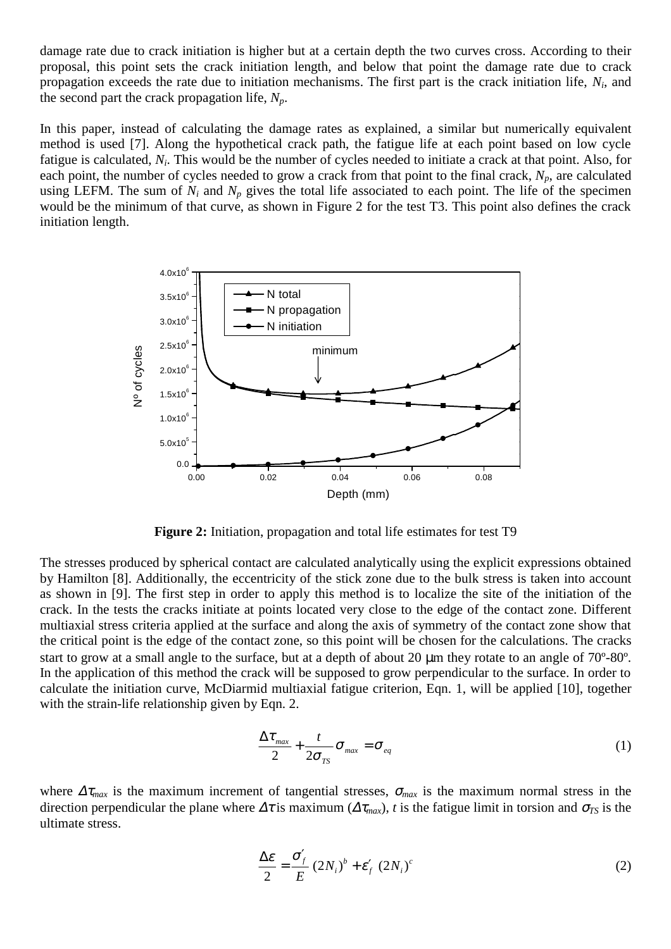damage rate due to crack initiation is higher but at a certain depth the two curves cross. According to their proposal, this point sets the crack initiation length, and below that point the damage rate due to crack propagation exceeds the rate due to initiation mechanisms. The first part is the crack initiation life, *Ni*, and the second part the crack propagation life,  $N_p$ .

In this paper, instead of calculating the damage rates as explained, a similar but numerically equivalent method is used [7]. Along the hypothetical crack path, the fatigue life at each point based on low cycle fatigue is calculated, *Ni*. This would be the number of cycles needed to initiate a crack at that point. Also, for each point, the number of cycles needed to grow a crack from that point to the final crack,  $N_p$ , are calculated using LEFM. The sum of  $N_i$  and  $N_p$  gives the total life associated to each point. The life of the specimen would be the minimum of that curve, as shown in Figure 2 for the test T3. This point also defines the crack initiation length.



**Figure 2:** Initiation, propagation and total life estimates for test T9

The stresses produced by spherical contact are calculated analytically using the explicit expressions obtained by Hamilton [8]. Additionally, the eccentricity of the stick zone due to the bulk stress is taken into account as shown in [9]. The first step in order to apply this method is to localize the site of the initiation of the crack. In the tests the cracks initiate at points located very close to the edge of the contact zone. Different multiaxial stress criteria applied at the surface and along the axis of symmetry of the contact zone show that the critical point is the edge of the contact zone, so this point will be chosen for the calculations. The cracks start to grow at a small angle to the surface, but at a depth of about 20  $\mu$ m they rotate to an angle of 70°-80°. In the application of this method the crack will be supposed to grow perpendicular to the surface. In order to calculate the initiation curve, McDiarmid multiaxial fatigue criterion, Eqn. 1, will be applied [10], together with the strain-life relationship given by Eqn. 2.

$$
\frac{\Delta \tau_{max}}{2} + \frac{t}{2\sigma_{TS}} \sigma_{max} = \sigma_{eq} \tag{1}
$$

where  $\Delta \tau_{max}$  is the maximum increment of tangential stresses,  $\sigma_{max}$  is the maximum normal stress in the direction perpendicular the plane where  $\Delta \tau$  is maximum ( $\Delta \tau_{max}$ ), *t* is the fatigue limit in torsion and  $\sigma_{TS}$  is the ultimate stress.

$$
\frac{\Delta \varepsilon}{2} = \frac{\sigma'_f}{E} (2N_i)^b + \varepsilon'_f (2N_i)^c
$$
 (2)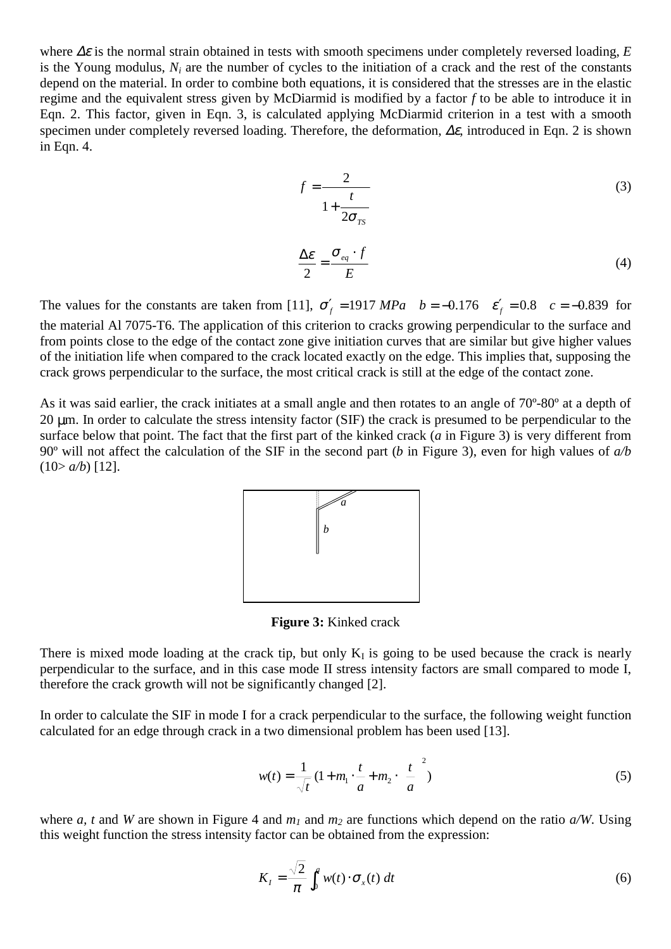where ∆ε is the normal strain obtained in tests with smooth specimens under completely reversed loading, *E* is the Young modulus,  $N_i$  are the number of cycles to the initiation of a crack and the rest of the constants depend on the material. In order to combine both equations, it is considered that the stresses are in the elastic regime and the equivalent stress given by McDiarmid is modified by a factor *f* to be able to introduce it in Eqn. 2. This factor, given in Eqn. 3, is calculated applying McDiarmid criterion in a test with a smooth specimen under completely reversed loading. Therefore, the deformation, ∆ε*,* introduced in Eqn. 2 is shown in Eqn. 4.

$$
f = \frac{2}{1 + \frac{t}{2\sigma_{TS}}} \tag{3}
$$

$$
\frac{\Delta \mathcal{E}}{2} = \frac{\sigma_{eq} \cdot f}{E} \tag{4}
$$

The values for the constants are taken from [11],  $\sigma'_f = 1917 MPa$  *b* = −0.176  $\varepsilon'_f = 0.8$  *c* = −0.839 for the material Al 7075-T6. The application of this criterion to cracks growing perpendicular to the surface and from points close to the edge of the contact zone give initiation curves that are similar but give higher values of the initiation life when compared to the crack located exactly on the edge. This implies that, supposing the crack grows perpendicular to the surface, the most critical crack is still at the edge of the contact zone.

As it was said earlier, the crack initiates at a small angle and then rotates to an angle of 70º-80º at a depth of 20 µm. In order to calculate the stress intensity factor (SIF) the crack is presumed to be perpendicular to the surface below that point. The fact that the first part of the kinked crack (*a* in Figure 3) is very different from 90º will not affect the calculation of the SIF in the second part (*b* in Figure 3), even for high values of *a/b*  $(10>ab)$  [12].



**Figure 3:** Kinked crack

There is mixed mode loading at the crack tip, but only  $K_I$  is going to be used because the crack is nearly perpendicular to the surface, and in this case mode II stress intensity factors are small compared to mode I, therefore the crack growth will not be significantly changed [2].

In order to calculate the SIF in mode I for a crack perpendicular to the surface, the following weight function calculated for an edge through crack in a two dimensional problem has been used [13].

$$
w(t) = \frac{1}{\sqrt{t}} \left( 1 + m_1 \cdot \frac{t}{a} + m_2 \cdot \left( \frac{t}{a} \right)^2 \right) \tag{5}
$$

where *a, t* and *W* are shown in Figure 4 and  $m_1$  and  $m_2$  are functions which depend on the ratio  $a/W$ . Using this weight function the stress intensity factor can be obtained from the expression:

$$
K_{t} = \frac{\sqrt{2}}{\pi} \int_{0}^{a} w(t) \cdot \sigma_{x}(t) dt
$$
 (6)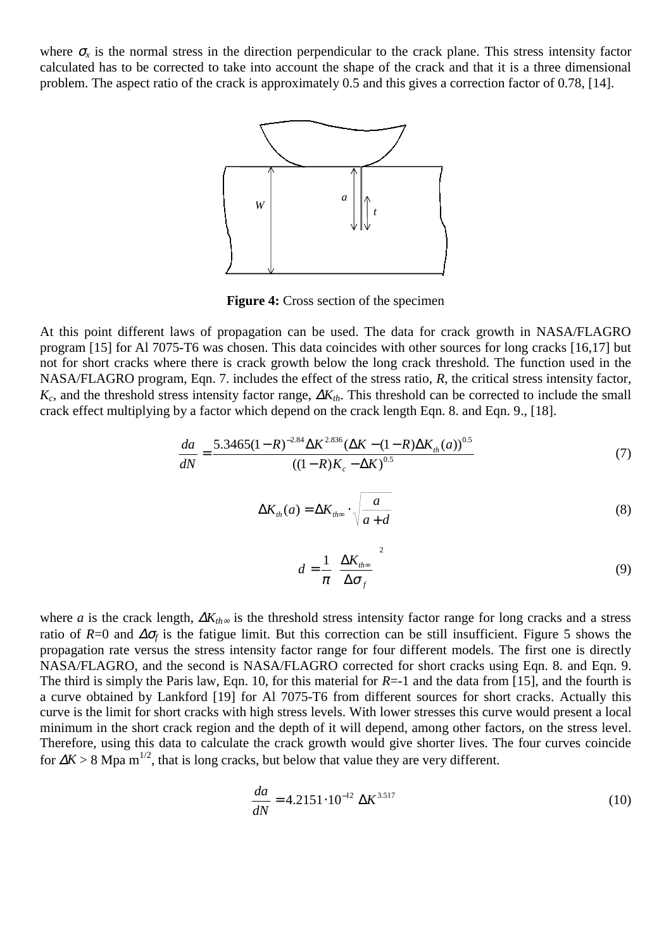where  $\sigma_x$  is the normal stress in the direction perpendicular to the crack plane. This stress intensity factor calculated has to be corrected to take into account the shape of the crack and that it is a three dimensional problem. The aspect ratio of the crack is approximately 0.5 and this gives a correction factor of 0.78, [14].



**Figure 4:** Cross section of the specimen

At this point different laws of propagation can be used. The data for crack growth in NASA/FLAGRO program [15] for Al 7075-T6 was chosen. This data coincides with other sources for long cracks [16,17] but not for short cracks where there is crack growth below the long crack threshold. The function used in the NASA/FLAGRO program, Eqn. 7. includes the effect of the stress ratio, *R*, the critical stress intensity factor, *K<sub>c</sub>*, and the threshold stress intensity factor range,  $\Delta K$ <sub>th</sub>. This threshold can be corrected to include the small crack effect multiplying by a factor which depend on the crack length Eqn. 8. and Eqn. 9., [18].

$$
\frac{da}{dN} = \frac{5.3465(1 - R)^{-2.84} \Delta K^{2.836} (\Delta K - (1 - R)\Delta K_{th}(a))^{0.5}}{(1 - R)K_c - \Delta K)^{0.5}}
$$
(7)

$$
\Delta K_{th}(a) = \Delta K_{th\infty} \cdot \sqrt{\frac{a}{a+d}}
$$
\n(8)

$$
d = \frac{1}{\pi} \left( \frac{\Delta K_{th\infty}}{\Delta \sigma_f} \right)^2 \tag{9}
$$

where *a* is the crack length,  $\Delta K_{th}$ ∞ is the threshold stress intensity factor range for long cracks and a stress ratio of  $R=0$  and  $\Delta\sigma_f$  is the fatigue limit. But this correction can be still insufficient. Figure 5 shows the propagation rate versus the stress intensity factor range for four different models. The first one is directly NASA/FLAGRO, and the second is NASA/FLAGRO corrected for short cracks using Eqn. 8. and Eqn. 9. The third is simply the Paris law, Eqn. 10, for this material for *R*=-1 and the data from [15], and the fourth is a curve obtained by Lankford [19] for Al 7075-T6 from different sources for short cracks. Actually this curve is the limit for short cracks with high stress levels. With lower stresses this curve would present a local minimum in the short crack region and the depth of it will depend, among other factors, on the stress level. Therefore, using this data to calculate the crack growth would give shorter lives. The four curves coincide for  $\Delta K > 8$  Mpa m<sup>1/2</sup>, that is long cracks, but below that value they are very different.

$$
\frac{da}{dN} = 4.2151 \cdot 10^{-12} \Delta K^{3.517}
$$
 (10)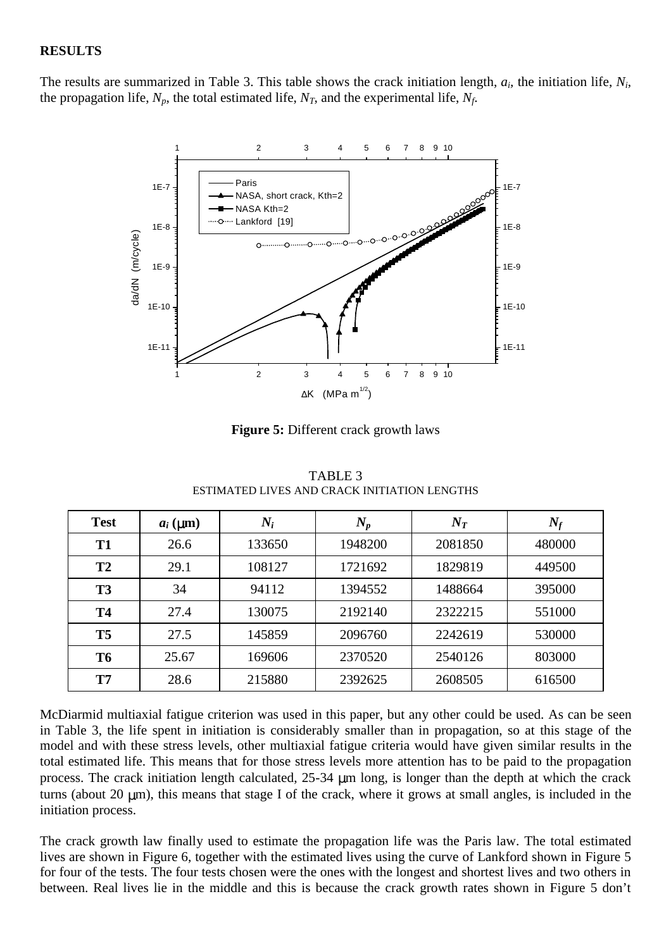## **RESULTS**

The results are summarized in Table 3. This table shows the crack initiation length, *ai,* the initiation life, *Ni*, the propagation life,  $N_p$ , the total estimated life,  $N_T$ , and the experimental life,  $N_f$ .



**Figure 5:** Different crack growth laws

| <b>Test</b>    | $a_i$ ( $\mu$ m) | $N_i$  | $N_p$   | $N_T$   | $N_f$  |
|----------------|------------------|--------|---------|---------|--------|
| <b>T1</b>      | 26.6             | 133650 | 1948200 | 2081850 | 480000 |
| T2             | 29.1             | 108127 | 1721692 | 1829819 | 449500 |
| T <sub>3</sub> | 34               | 94112  | 1394552 | 1488664 | 395000 |
| <b>T4</b>      | 27.4             | 130075 | 2192140 | 2322215 | 551000 |
| T <sub>5</sub> | 27.5             | 145859 | 2096760 | 2242619 | 530000 |
| T <sub>6</sub> | 25.67            | 169606 | 2370520 | 2540126 | 803000 |
| T7             | 28.6             | 215880 | 2392625 | 2608505 | 616500 |

TABLE 3 ESTIMATED LIVES AND CRACK INITIATION LENGTHS

McDiarmid multiaxial fatigue criterion was used in this paper, but any other could be used. As can be seen in Table 3, the life spent in initiation is considerably smaller than in propagation, so at this stage of the model and with these stress levels, other multiaxial fatigue criteria would have given similar results in the total estimated life. This means that for those stress levels more attention has to be paid to the propagation process. The crack initiation length calculated, 25-34 µm long, is longer than the depth at which the crack turns (about 20  $\mu$ m), this means that stage I of the crack, where it grows at small angles, is included in the initiation process.

The crack growth law finally used to estimate the propagation life was the Paris law. The total estimated lives are shown in Figure 6, together with the estimated lives using the curve of Lankford shown in Figure 5 for four of the tests. The four tests chosen were the ones with the longest and shortest lives and two others in between. Real lives lie in the middle and this is because the crack growth rates shown in Figure 5 don't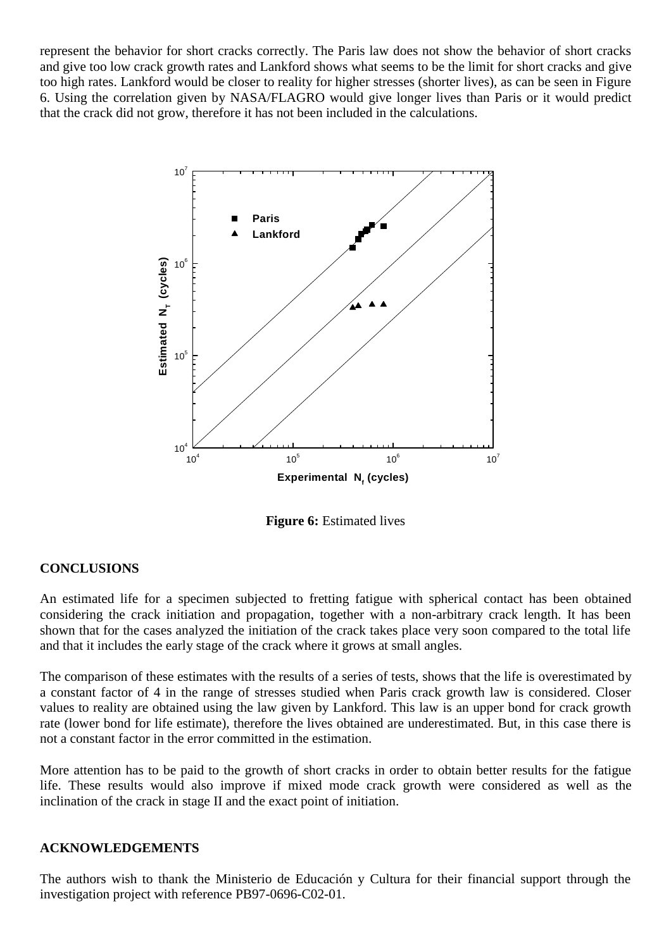represent the behavior for short cracks correctly. The Paris law does not show the behavior of short cracks and give too low crack growth rates and Lankford shows what seems to be the limit for short cracks and give too high rates. Lankford would be closer to reality for higher stresses (shorter lives), as can be seen in Figure 6. Using the correlation given by NASA/FLAGRO would give longer lives than Paris or it would predict that the crack did not grow, therefore it has not been included in the calculations.



**Figure 6:** Estimated lives

# **CONCLUSIONS**

An estimated life for a specimen subjected to fretting fatigue with spherical contact has been obtained considering the crack initiation and propagation, together with a non-arbitrary crack length. It has been shown that for the cases analyzed the initiation of the crack takes place very soon compared to the total life and that it includes the early stage of the crack where it grows at small angles.

The comparison of these estimates with the results of a series of tests, shows that the life is overestimated by a constant factor of 4 in the range of stresses studied when Paris crack growth law is considered. Closer values to reality are obtained using the law given by Lankford. This law is an upper bond for crack growth rate (lower bond for life estimate), therefore the lives obtained are underestimated. But, in this case there is not a constant factor in the error committed in the estimation.

More attention has to be paid to the growth of short cracks in order to obtain better results for the fatigue life. These results would also improve if mixed mode crack growth were considered as well as the inclination of the crack in stage II and the exact point of initiation.

#### **ACKNOWLEDGEMENTS**

The authors wish to thank the Ministerio de Educación y Cultura for their financial support through the investigation project with reference PB97-0696-C02-01.